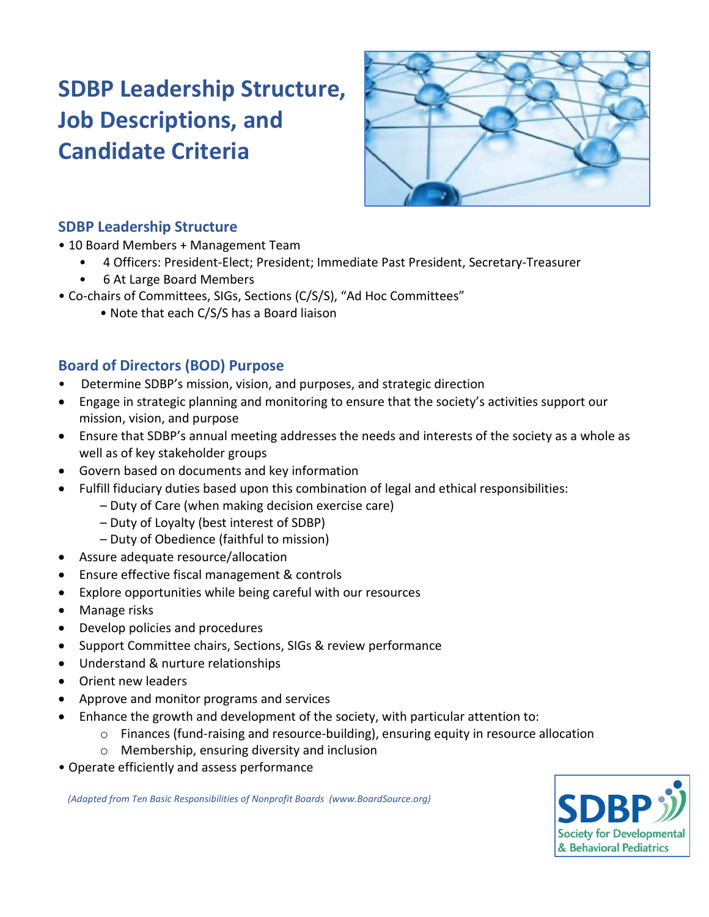# **SDBP Leadership Structure, Job Descriptions, and Candidate Criteria**



## **SDBP Leadership Structure**

- 10 Board Members + Management Team
	- 4 Officers: President-Elect; President; Immediate Past President, Secretary-Treasurer
		- 6 At Large Board Members
- Co-chairs of Committees, SIGs, Sections (C/S/S), "Ad Hoc Committees"
	- Note that each C/S/S has a Board liaison

## **Board of Directors (BOD) Purpose**

- Determine SDBP's mission, vision, and purposes, and strategic direction
- Engage in strategic planning and monitoring to ensure that the society's activities support our mission, vision, and purpose
- Ensure that SDBP's annual meeting addresses the needs and interests of the society as a whole as well as of key stakeholder groups
- Govern based on documents and key information
- Fulfill fiduciary duties based upon this combination of legal and ethical responsibilities:
	- Duty of Care (when making decision exercise care)
	- Duty of Loyalty (best interest of SDBP)
	- Duty of Obedience (faithful to mission)
- Assure adequate resource/allocation
- Ensure effective fiscal management & controls
- Explore opportunities while being careful with our resources
- Manage risks
- Develop policies and procedures
- Support Committee chairs, Sections, SIGs & review performance
- Understand & nurture relationships
- Orient new leaders
- Approve and monitor programs and services
- Enhance the growth and development of the society, with particular attention to:
	- $\circ$  Finances (fund-raising and resource-building), ensuring equity in resource allocation
	- o Membership, ensuring diversity and inclusion
- Operate efficiently and assess performance

 *(Adapted from Ten Basic Responsibilities of Nonprofit Boards (www.BoardSource.org)*

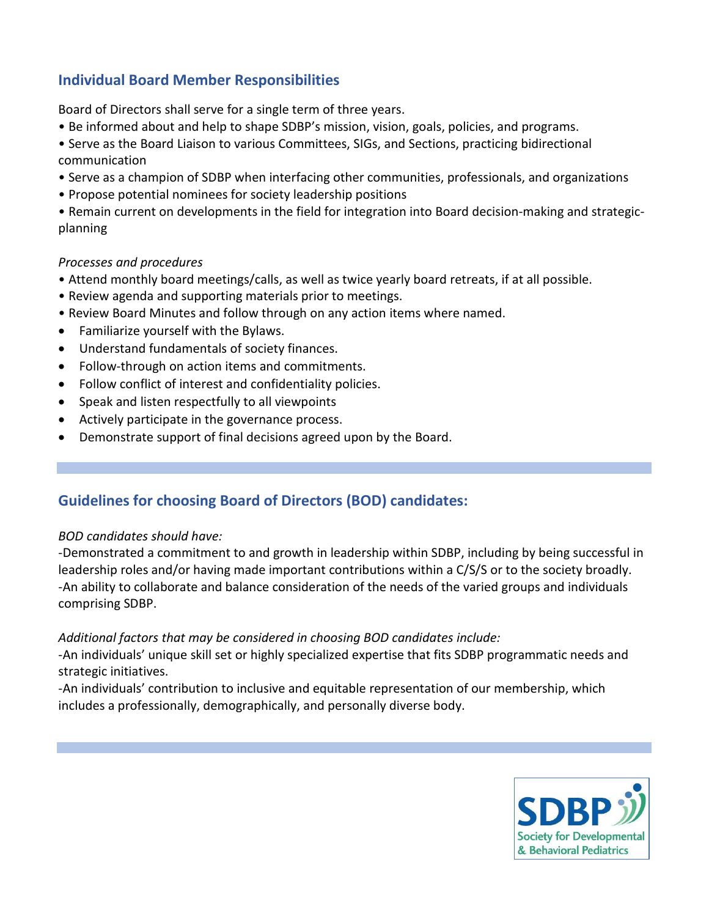## **Individual Board Member Responsibilities**

Board of Directors shall serve for a single term of three years.

- Be informed about and help to shape SDBP's mission, vision, goals, policies, and programs.
- Serve as the Board Liaison to various Committees, SIGs, and Sections, practicing bidirectional communication
- Serve as a champion of SDBP when interfacing other communities, professionals, and organizations
- Propose potential nominees for society leadership positions

• Remain current on developments in the field for integration into Board decision-making and strategicplanning

#### *Processes and procedures*

- Attend monthly board meetings/calls, as well as twice yearly board retreats, if at all possible.
- Review agenda and supporting materials prior to meetings.
- Review Board Minutes and follow through on any action items where named.
- Familiarize yourself with the Bylaws.
- Understand fundamentals of society finances.
- Follow-through on action items and commitments.
- Follow conflict of interest and confidentiality policies.
- Speak and listen respectfully to all viewpoints
- Actively participate in the governance process.
- Demonstrate support of final decisions agreed upon by the Board.

## **Guidelines for choosing Board of Directors (BOD) candidates:**

#### *BOD candidates should have:*

-Demonstrated a commitment to and growth in leadership within SDBP, including by being successful in leadership roles and/or having made important contributions within a C/S/S or to the society broadly. -An ability to collaborate and balance consideration of the needs of the varied groups and individuals comprising SDBP.

#### *Additional factors that may be considered in choosing BOD candidates include:*

-An individuals' unique skill set or highly specialized expertise that fits SDBP programmatic needs and strategic initiatives.

-An individuals' contribution to inclusive and equitable representation of our membership, which includes a professionally, demographically, and personally diverse body.

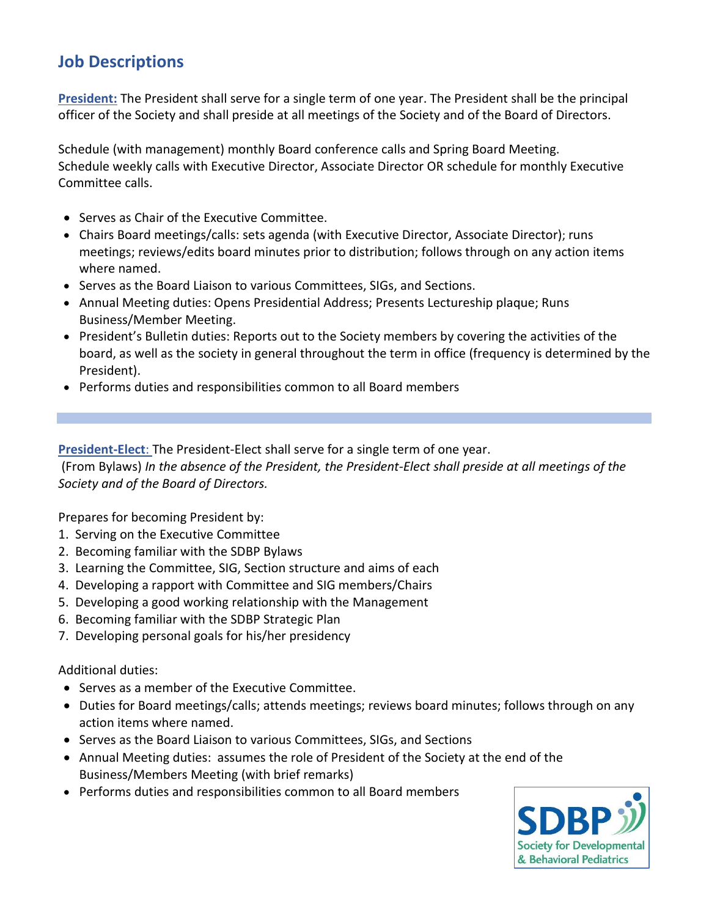## **Job Descriptions**

**President:** The President shall serve for a single term of one year. The President shall be the principal officer of the Society and shall preside at all meetings of the Society and of the Board of Directors.

Schedule (with management) monthly Board conference calls and Spring Board Meeting. Schedule weekly calls with Executive Director, Associate Director OR schedule for monthly Executive Committee calls.

- Serves as Chair of the Executive Committee.
- Chairs Board meetings/calls: sets agenda (with Executive Director, Associate Director); runs meetings; reviews/edits board minutes prior to distribution; follows through on any action items where named.
- Serves as the Board Liaison to various Committees, SIGs, and Sections.
- Annual Meeting duties: Opens Presidential Address; Presents Lectureship plaque; Runs Business/Member Meeting.
- President's Bulletin duties: Reports out to the Society members by covering the activities of the board, as well as the society in general throughout the term in office (frequency is determined by the President).
- Performs duties and responsibilities common to all Board members

**President-Elect**: The President-Elect shall serve for a single term of one year.

(From Bylaws) *In the absence of the President, the President-Elect shall preside at all meetings of the Society and of the Board of Directors.*

Prepares for becoming President by:

- 1. Serving on the Executive Committee
- 2. Becoming familiar with the SDBP Bylaws
- 3. Learning the Committee, SIG, Section structure and aims of each
- 4. Developing a rapport with Committee and SIG members/Chairs
- 5. Developing a good working relationship with the Management
- 6. Becoming familiar with the SDBP Strategic Plan
- 7. Developing personal goals for his/her presidency

Additional duties:

- Serves as a member of the Executive Committee.
- Duties for Board meetings/calls; attends meetings; reviews board minutes; follows through on any action items where named.
- Serves as the Board Liaison to various Committees, SIGs, and Sections
- Annual Meeting duties: assumes the role of President of the Society at the end of the Business/Members Meeting (with brief remarks)
- Performs duties and responsibilities common to all Board members

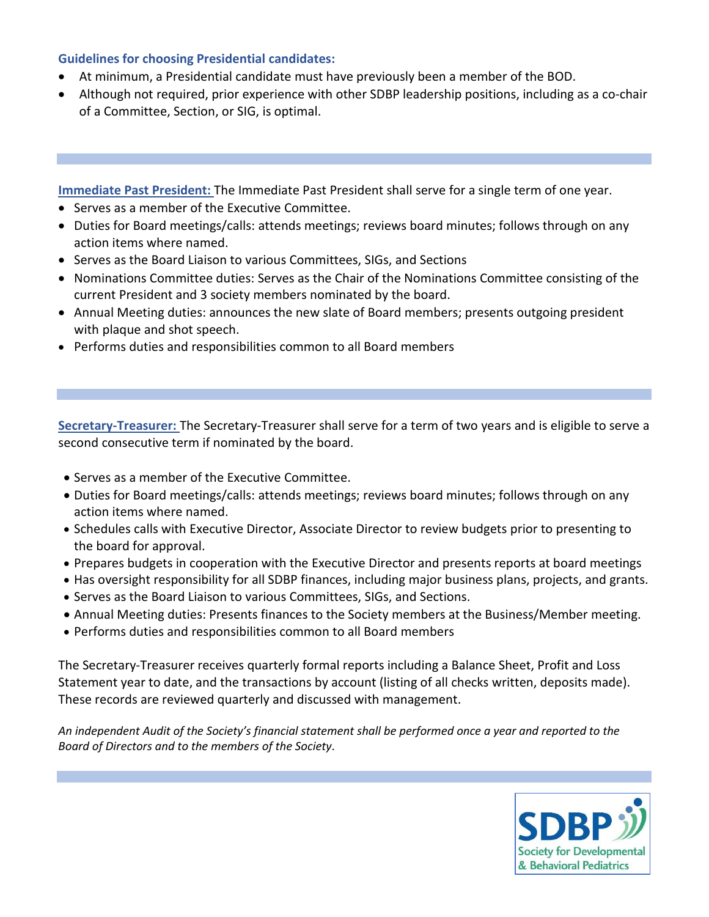#### **Guidelines for choosing Presidential candidates:**

- At minimum, a Presidential candidate must have previously been a member of the BOD.
- Although not required, prior experience with other SDBP leadership positions, including as a co-chair of a Committee, Section, or SIG, is optimal.

**Immediate Past President:** The Immediate Past President shall serve for a single term of one year.

- Serves as a member of the Executive Committee.
- Duties for Board meetings/calls: attends meetings; reviews board minutes; follows through on any action items where named.
- Serves as the Board Liaison to various Committees, SIGs, and Sections
- Nominations Committee duties: Serves as the Chair of the Nominations Committee consisting of the current President and 3 society members nominated by the board.
- Annual Meeting duties: announces the new slate of Board members; presents outgoing president with plaque and shot speech.
- Performs duties and responsibilities common to all Board members

**Secretary-Treasurer:** The Secretary-Treasurer shall serve for a term of two years and is eligible to serve a second consecutive term if nominated by the board.

- Serves as a member of the Executive Committee.
- Duties for Board meetings/calls: attends meetings; reviews board minutes; follows through on any action items where named.
- Schedules calls with Executive Director, Associate Director to review budgets prior to presenting to the board for approval.
- Prepares budgets in cooperation with the Executive Director and presents reports at board meetings
- Has oversight responsibility for all SDBP finances, including major business plans, projects, and grants.
- Serves as the Board Liaison to various Committees, SIGs, and Sections.
- Annual Meeting duties: Presents finances to the Society members at the Business/Member meeting.
- Performs duties and responsibilities common to all Board members

The Secretary-Treasurer receives quarterly formal reports including a Balance Sheet, Profit and Loss Statement year to date, and the transactions by account (listing of all checks written, deposits made). These records are reviewed quarterly and discussed with management.

*An independent Audit of the Society's financial statement shall be performed once a year and reported to the Board of Directors and to the members of the Society*.